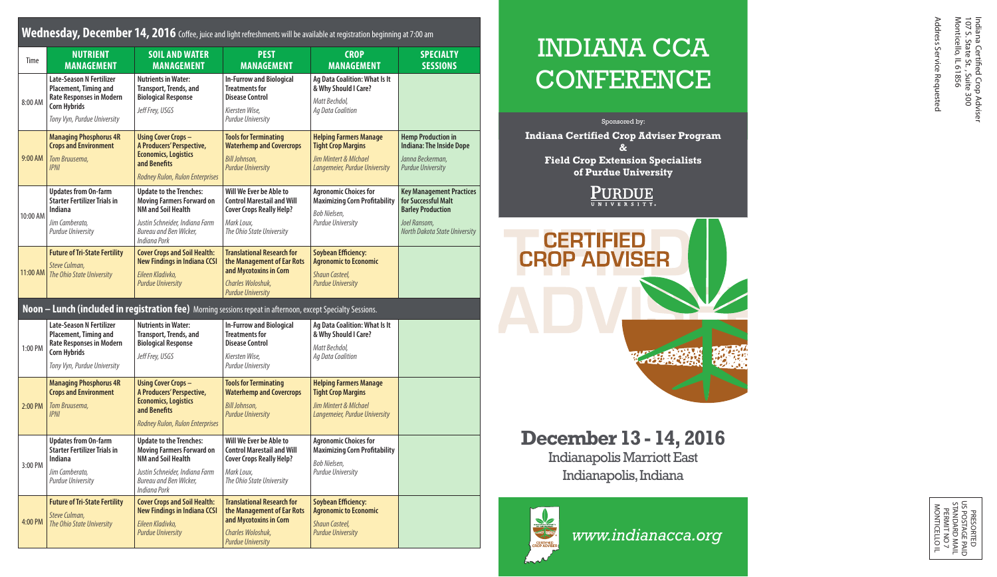## **Wednesday, December 14, 2016** Coffee, juice and light refreshments will be available at registration beginning at 7:00 am

| Time     | <b>NUTRIENT</b><br><b>MANAGEMENT</b>                                                                                                       | <b>SOIL AND WATER</b><br><b>MANAGEMENT</b>                                                                                                                                  | <b>PEST</b><br><b>MANAGEMENT</b>                                                                                                           | <b>CROP</b><br><b>MANAGEMENT</b>                                                                                     | <b>SPECIALTY</b><br><b>SESSIONS</b>                                                                                                 |
|----------|--------------------------------------------------------------------------------------------------------------------------------------------|-----------------------------------------------------------------------------------------------------------------------------------------------------------------------------|--------------------------------------------------------------------------------------------------------------------------------------------|----------------------------------------------------------------------------------------------------------------------|-------------------------------------------------------------------------------------------------------------------------------------|
| 8:00 AM  | <b>Late-Season N Fertilizer</b><br>Placement, Timing and<br>Rate Responses in Modern<br><b>Corn Hybrids</b><br>Tony Vyn, Purdue University | <b>Nutrients in Water:</b><br>Transport, Trends, and<br><b>Biological Response</b><br>Jeff Frey, USGS                                                                       | <b>In-Furrow and Biological</b><br><b>Treatments for</b><br><b>Disease Control</b><br>Kiersten Wise,<br><b>Purdue University</b>           | Ag Data Coalition: What Is It<br>& Why Should I Care?<br>Matt Bechdol.<br>Ag Data Coalition                          |                                                                                                                                     |
| 9:00 AM  | <b>Managing Phosphorus 4R</b><br><b>Crops and Environment</b><br>Tom Bruusema,<br><b>IPNI</b>                                              | <b>Using Cover Crops-</b><br>A Producers' Perspective,<br><b>Economics, Logistics</b><br>and Benefits<br>Rodney Rulon, Rulon Enterprises                                    | <b>Tools for Terminating</b><br><b>Waterhemp and Covercrops</b><br><b>Bill Johnson,</b><br><b>Purdue University</b>                        | <b>Helping Farmers Manage</b><br><b>Tight Crop Margins</b><br>Jim Mintert & Mlchael<br>Langemeier, Purdue University | <b>Hemp Production in</b><br><b>Indiana: The Inside Dope</b><br>Janna Beckerman,<br><b>Purdue University</b>                        |
| 10:00 AM | <b>Updates from On-farm</b><br><b>Starter Fertilizer Trials in</b><br>Indiana<br>Jim Camberato.<br>Purdue University                       | <b>Update to the Trenches:</b><br>Moving Farmers Forward on<br><b>NM and Soil Health</b><br>Justin Schneider, Indiana Farm<br>Bureau and Ben Wicker.<br>Indiana Pork        | Will We Ever be Able to<br><b>Control Marestail and Will</b><br><b>Cover Crops Really Help?</b><br>Mark Loux.<br>The Ohio State University | <b>Agronomic Choices for</b><br><b>Maximizing Corn Profitability</b><br>Bob Nielsen,<br><b>Purdue University</b>     | <b>Key Management Practices</b><br>for Successful Malt<br><b>Barley Production</b><br>Joel Ransom,<br>North Dakota State University |
| 11:00 AM | <b>Future of Tri-State Fertility</b><br>Steve Culman.<br>The Ohio State University                                                         | <b>Cover Crops and Soil Health:</b><br><b>New Findings in Indiana CCSI</b><br>Eileen Kladivko.<br><b>Purdue University</b>                                                  | <b>Translational Research for</b><br>the Management of Ear Rots<br>and Mycotoxins in Corn<br>Charles Woloshuk.<br><b>Purdue University</b> | <b>Soybean Efficiency:</b><br><b>Agronomic to Economic</b><br><b>Shaun Casteel,</b><br><b>Purdue University</b>      |                                                                                                                                     |
|          |                                                                                                                                            | Noon - Lunch (included in registration fee) Morning sessions repeat in afternoon, except Specialty Sessions.                                                                |                                                                                                                                            |                                                                                                                      |                                                                                                                                     |
| 1:00 PM  | Late-Season N Fertilizer<br>Placement, Timing and<br><b>Rate Responses in Modern</b><br><b>Corn Hybrids</b><br>Tony Vyn, Purdue University | <b>Nutrients in Water:</b><br>Transport, Trends, and<br><b>Biological Response</b><br>Jeff Frey, USGS                                                                       | <b>In-Furrow and Biological</b><br><b>Treatments for</b><br><b>Disease Control</b><br>Kiersten Wise,<br><b>Purdue University</b>           | Ag Data Coalition: What Is It<br>& Why Should I Care?<br>Matt Bechdol,<br>Ag Data Coalition                          |                                                                                                                                     |
| 2:00 PM  | <b>Managing Phosphorus 4R</b><br><b>Crops and Environment</b><br>Tom Bruusema,<br><b>IPNI</b>                                              | <b>Using Cover Crops-</b><br>A Producers' Perspective,<br><b>Economics, Logistics</b><br>and Benefits<br>Rodney Rulon, Rulon Enterprises                                    | <b>Tools for Terminating</b><br><b>Waterhemp and Covercrops</b><br><b>Bill Johnson,</b><br><b>Purdue University</b>                        | <b>Helping Farmers Manage</b><br><b>Tight Crop Margins</b><br>Jim Mintert & Mlchael<br>Langemeier, Purdue University |                                                                                                                                     |
| 3:00 PM  | <b>Updates from On-farm</b><br><b>Starter Fertilizer Trials in</b><br>Indiana<br>Jim Camberato,<br>Purdue University                       | <b>Update to the Trenches:</b><br><b>Moving Farmers Forward on</b><br><b>NM and Soil Health</b><br>Justin Schneider, Indiana Farm<br>Bureau and Ben Wicker,<br>Indiana Pork | Will We Ever be Able to<br><b>Control Marestail and Will</b><br><b>Cover Crops Really Help?</b><br>Mark Loux,<br>The Ohio State University | <b>Agronomic Choices for</b><br><b>Maximizing Corn Profitability</b><br>Bob Nielsen,<br><b>Purdue University</b>     |                                                                                                                                     |
| 4:00 PM  | <b>Future of Tri-State Fertility</b><br>Steve Culman,<br>The Ohio State University                                                         | <b>Cover Crops and Soil Health:</b><br><b>New Findings in Indiana CCSI</b><br>Eileen Kladivko,<br><b>Purdue University</b>                                                  | <b>Translational Research for</b><br>the Management of Ear Rots<br>and Mycotoxins in Corn<br>Charles Woloshuk,<br><b>Purdue University</b> | <b>Soybean Efficiency:</b><br><b>Agronomic to Economic</b><br><b>Shaun Casteel,</b><br><b>Purdue University</b>      |                                                                                                                                     |

# INDIANA CCA **CONFERENCE**

Sponsored by:

**Indiana Certified Crop Adviser Program & Field Crop Extension Specialists of Purdue University**

 $\underbrace{\textbf{PURDUE}}_{\text{UNIVERSITY}}$ 



**December 13 - 14, 2016** Indianapolis Marriott East

Indianapolis, Indiana



*www.indianacca.org*

Address Service Requested

PRESORTED<br>SPOSTAGE PA<br>STANDARD MA<br>SERMIT NO 7<br>PERMIT NO<br>MONTICELLO I US POSTAGE PAID STANDARD MAIL MONTICELLO IL PERMIT NO 7 PRESORTED 공